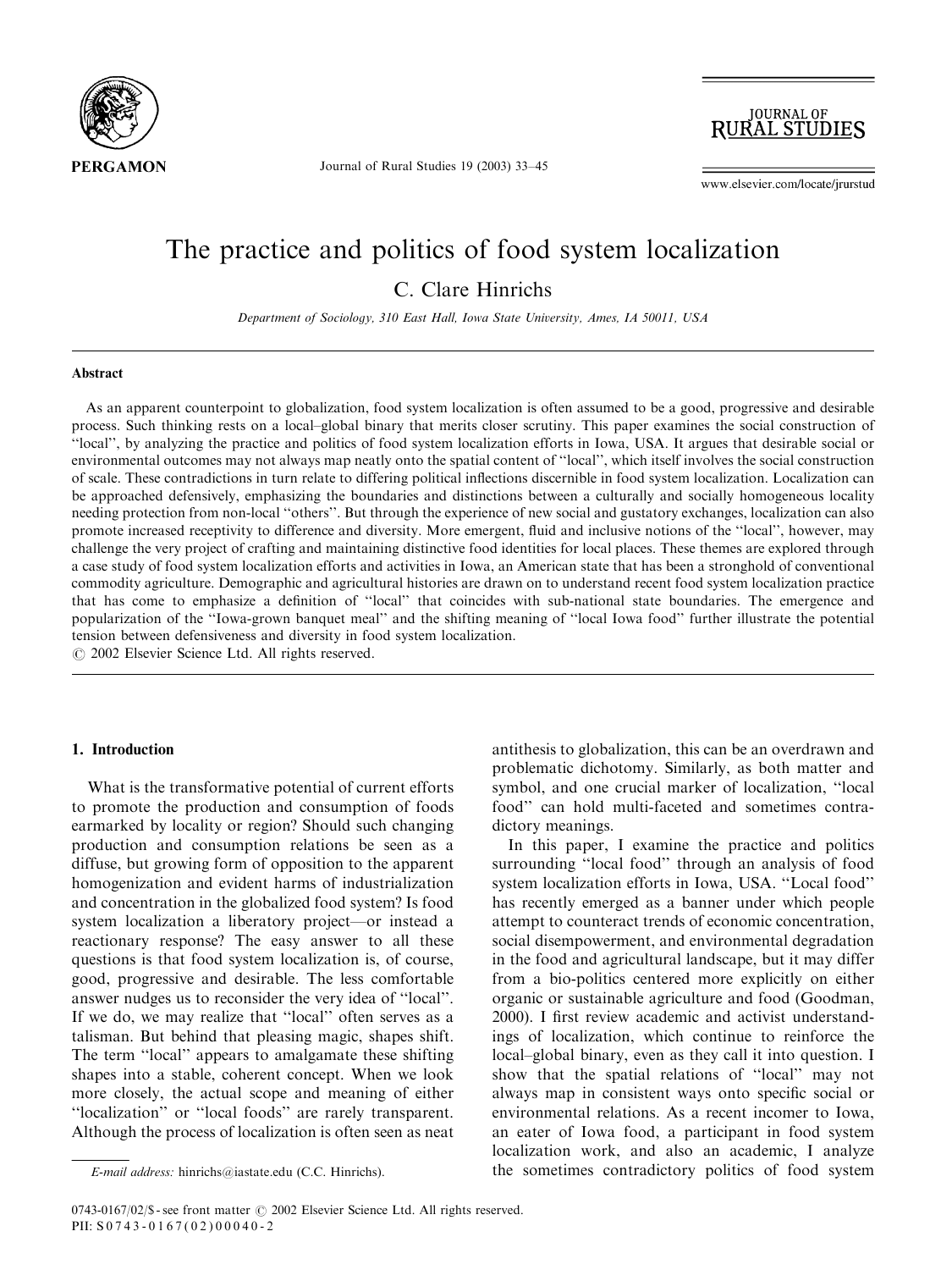

Journal of Rural Studies 19 (2003) 33–45



www.elsevier.com/locate/irurstud

# The practice and politics of food system localization

C. Clare Hinrichs

Department of Sociology, 310 East Hall, Iowa State University, Ames, IA 50011, USA

#### Abstract

As an apparent counterpoint to globalization, food system localization is often assumed to be a good, progressive and desirable process. Such thinking rests on a local–global binary that merits closer scrutiny. This paper examines the social construction of ''local'', by analyzing the practice and politics of food system localization efforts in Iowa, USA. It argues that desirable social or environmental outcomes may not always map neatly onto the spatial content of ''local'', which itself involves the social construction of scale. These contradictions in turn relate to differing political inflections discernible in food system localization. Localization can be approached defensively, emphasizing the boundaries and distinctions between a culturally and socially homogeneous locality needing protection from non-local ''others''. But through the experience of new social and gustatory exchanges, localization can also promote increased receptivity to difference and diversity. More emergent, fluid and inclusive notions of the ''local'', however, may challenge the very project of crafting and maintaining distinctive food identities for local places. These themes are explored through a case study of food system localization efforts and activities in Iowa, an American state that has been a stronghold of conventional commodity agriculture. Demographic and agricultural histories are drawn on to understand recent food system localization practice that has come to emphasize a definition of ''local'' that coincides with sub-national state boundaries. The emergence and popularization of the ''Iowa-grown banquet meal'' and the shifting meaning of ''local Iowa food'' further illustrate the potential tension between defensiveness and diversity in food system localization.

 $O$  2002 Elsevier Science Ltd. All rights reserved.

# 1. Introduction

What is the transformative potential of current efforts to promote the production and consumption of foods earmarked by locality or region? Should such changing production and consumption relations be seen as a diffuse, but growing form of opposition to the apparent homogenization and evident harms of industrialization and concentration in the globalized food system? Is food system localization a liberatory project—or instead a reactionary response? The easy answer to all these questions is that food system localization is, of course, good, progressive and desirable. The less comfortable answer nudges us to reconsider the very idea of ''local''. If we do, we may realize that ''local'' often serves as a talisman. But behind that pleasing magic, shapes shift. The term ''local'' appears to amalgamate these shifting shapes into a stable, coherent concept. When we look more closely, the actual scope and meaning of either ''localization'' or ''local foods'' are rarely transparent. Although the process of localization is often seen as neat antithesis to globalization, this can be an overdrawn and problematic dichotomy. Similarly, as both matter and symbol, and one crucial marker of localization, ''local food'' can hold multi-faceted and sometimes contradictory meanings.

In this paper, I examine the practice and politics surrounding ''local food'' through an analysis of food system localization efforts in Iowa, USA. ''Local food'' has recently emerged as a banner under which people attempt to counteract trends of economic concentration, social disempowerment, and environmental degradation in the food and agricultural landscape, but it may differ from a bio-politics centered more explicitly on either organic or sustainable agriculture and food (Goodman, 2000). I first review academic and activist understandings of localization, which continue to reinforce the local–global binary, even as they call it into question. I show that the spatial relations of ''local'' may not always map in consistent ways onto specific social or environmental relations. As a recent incomer to Iowa, an eater of Iowa food, a participant in food system localization work, and also an academic, I analyze E-mail address: hinrichs@iastate.edu (C.C. Hinrichs). the sometimes contradictory politics of food system

 $0743-0167/02$ /\$ - see front matter  $\odot$  2002 Elsevier Science Ltd. All rights reserved. PII: S 0743-0167(02)00040-2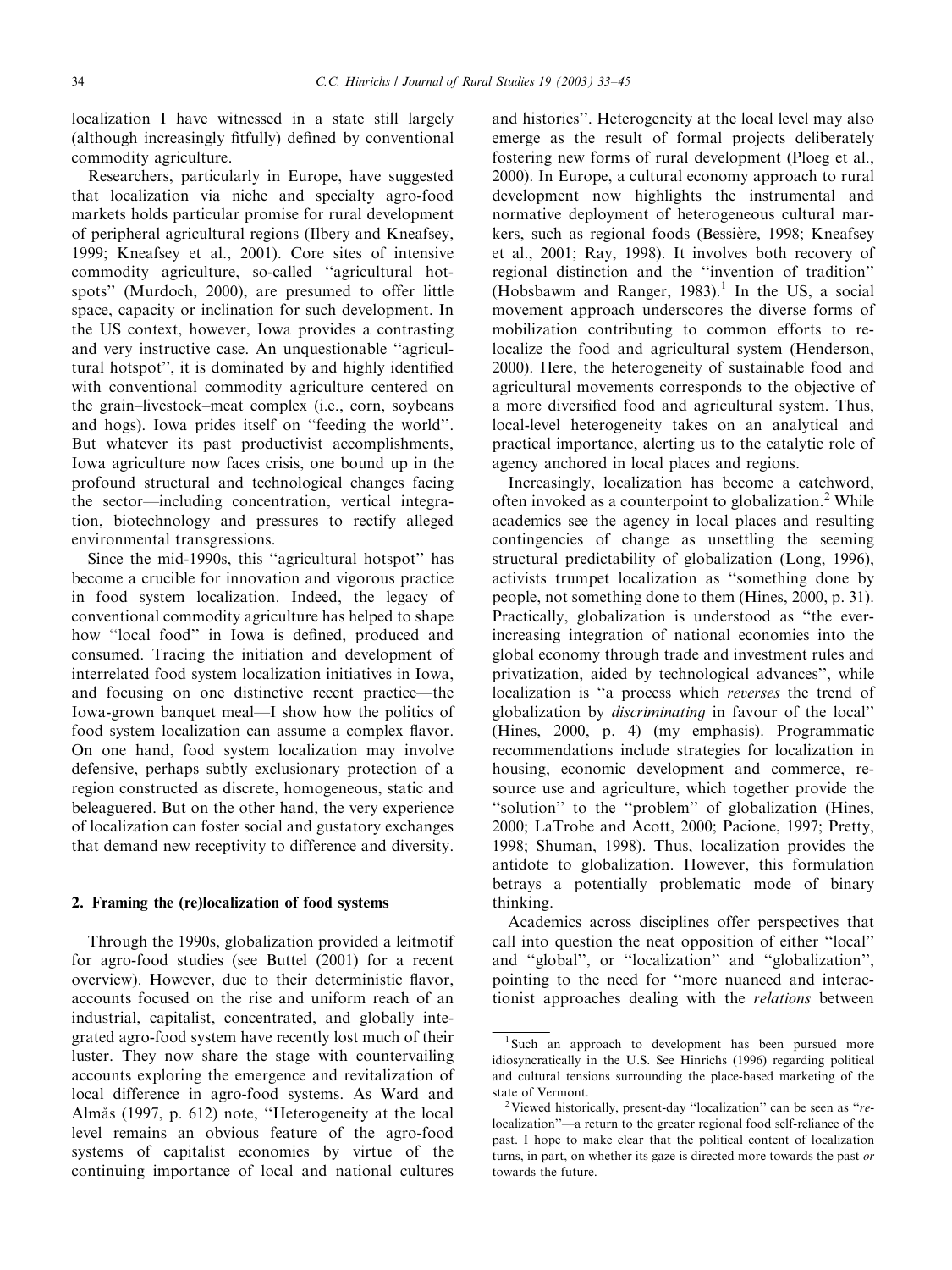localization I have witnessed in a state still largely (although increasingly fitfully) defined by conventional commodity agriculture.

Researchers, particularly in Europe, have suggested that localization via niche and specialty agro-food markets holds particular promise for rural development of peripheral agricultural regions (Ilbery and Kneafsey, 1999; Kneafsey et al., 2001). Core sites of intensive commodity agriculture, so-called ''agricultural hotspots'' (Murdoch, 2000), are presumed to offer little space, capacity or inclination for such development. In the US context, however, Iowa provides a contrasting and very instructive case. An unquestionable ''agricultural hotspot'', it is dominated by and highly identified with conventional commodity agriculture centered on the grain–livestock–meat complex (i.e., corn, soybeans and hogs). Iowa prides itself on ''feeding the world''. But whatever its past productivist accomplishments, Iowa agriculture now faces crisis, one bound up in the profound structural and technological changes facing the sector—including concentration, vertical integration, biotechnology and pressures to rectify alleged environmental transgressions.

Since the mid-1990s, this ''agricultural hotspot'' has become a crucible for innovation and vigorous practice in food system localization. Indeed, the legacy of conventional commodity agriculture has helped to shape how ''local food'' in Iowa is defined, produced and consumed. Tracing the initiation and development of interrelated food system localization initiatives in Iowa, and focusing on one distinctive recent practice—the Iowa-grown banquet meal—I show how the politics of food system localization can assume a complex flavor. On one hand, food system localization may involve defensive, perhaps subtly exclusionary protection of a region constructed as discrete, homogeneous, static and beleaguered. But on the other hand, the very experience of localization can foster social and gustatory exchanges that demand new receptivity to difference and diversity.

#### 2. Framing the (re)localization of food systems

Through the 1990s, globalization provided a leitmotif for agro-food studies (see Buttel (2001) for a recent overview). However, due to their deterministic flavor, accounts focused on the rise and uniform reach of an industrial, capitalist, concentrated, and globally integrated agro-food system have recently lost much of their luster. They now share the stage with countervailing accounts exploring the emergence and revitalization of local difference in agro-food systems. As Ward and Almas (1997, p. 612) note, ''Heterogeneity at the local ( level remains an obvious feature of the agro-food systems of capitalist economies by virtue of the continuing importance of local and national cultures and histories''. Heterogeneity at the local level may also emerge as the result of formal projects deliberately fostering new forms of rural development (Ploeg et al., 2000). In Europe, a cultural economy approach to rural development now highlights the instrumental and normative deployment of heterogeneous cultural markers, such as regional foods (Bessière, 1998; Kneafsey et al., 2001; Ray, 1998). It involves both recovery of regional distinction and the ''invention of tradition'' (Hobsbawm and Ranger,  $1983$ ).<sup>1</sup> In the US, a social movement approach underscores the diverse forms of mobilization contributing to common efforts to relocalize the food and agricultural system (Henderson, 2000). Here, the heterogeneity of sustainable food and agricultural movements corresponds to the objective of a more diversified food and agricultural system. Thus, local-level heterogeneity takes on an analytical and practical importance, alerting us to the catalytic role of agency anchored in local places and regions.

Increasingly, localization has become a catchword, often invoked as a counterpoint to globalization.<sup>2</sup> While academics see the agency in local places and resulting contingencies of change as unsettling the seeming structural predictability of globalization (Long, 1996), activists trumpet localization as ''something done by people, not something done to them (Hines, 2000, p. 31). Practically, globalization is understood as ''the everincreasing integration of national economies into the global economy through trade and investment rules and privatization, aided by technological advances'', while localization is ''a process which reverses the trend of globalization by discriminating in favour of the local'' (Hines, 2000, p. 4) (my emphasis). Programmatic recommendations include strategies for localization in housing, economic development and commerce, resource use and agriculture, which together provide the ''solution'' to the ''problem'' of globalization (Hines, 2000; LaTrobe and Acott, 2000; Pacione, 1997; Pretty, 1998; Shuman, 1998). Thus, localization provides the antidote to globalization. However, this formulation betrays a potentially problematic mode of binary thinking.

Academics across disciplines offer perspectives that call into question the neat opposition of either ''local'' and ''global'', or ''localization'' and ''globalization'', pointing to the need for ''more nuanced and interactionist approaches dealing with the relations between

<sup>&</sup>lt;sup>1</sup>Such an approach to development has been pursued more idiosyncratically in the U.S. See Hinrichs (1996) regarding political and cultural tensions surrounding the place-based marketing of the state of Vermont.<br><sup>2</sup>Viewed historically, present-day "localization" can be seen as "re-

localization''—a return to the greater regional food self-reliance of the past. I hope to make clear that the political content of localization turns, in part, on whether its gaze is directed more towards the past or towards the future.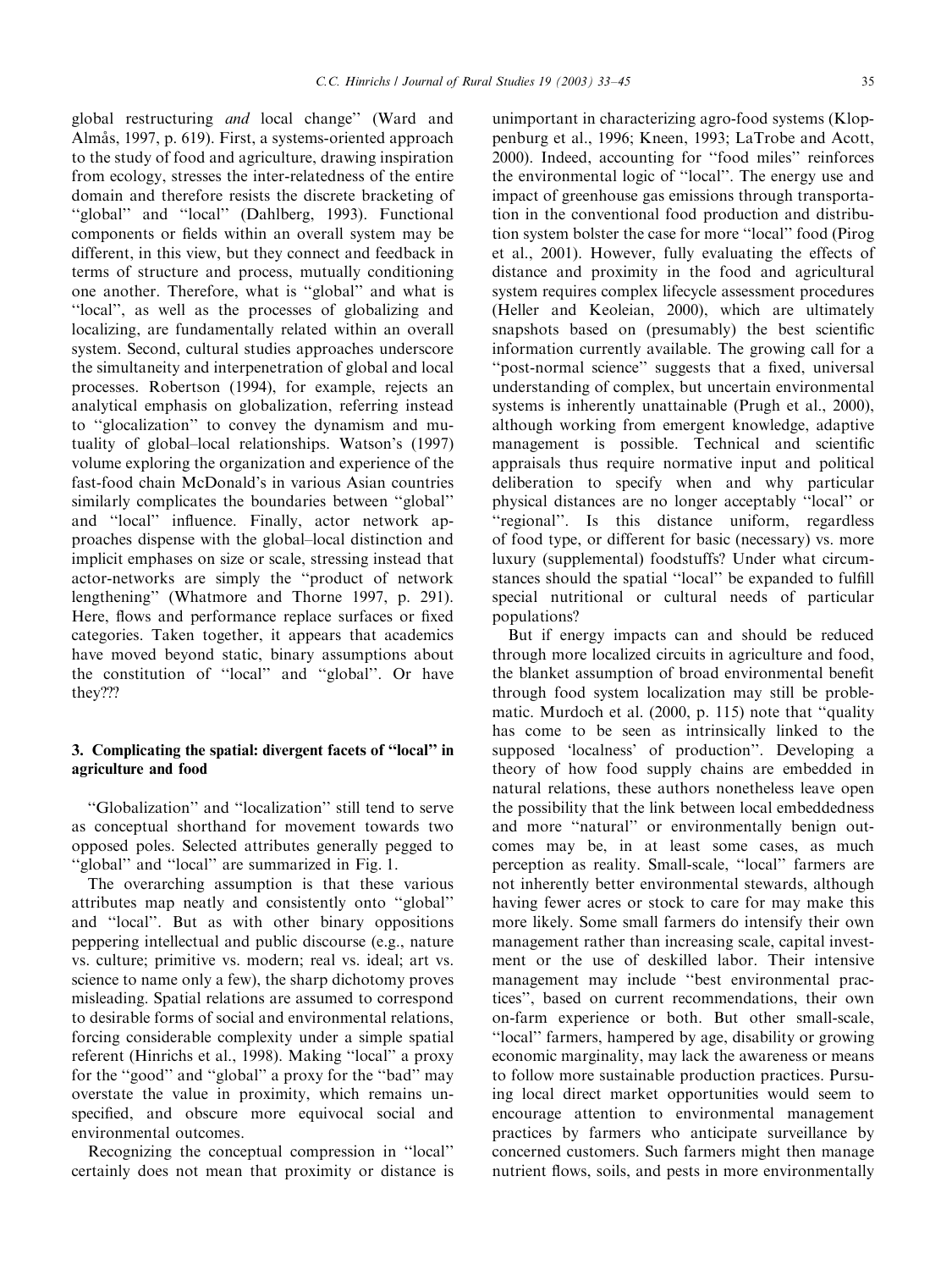global restructuring and local change'' (Ward and Almas, 1997, p. 619). First, a systems-oriented approach ( to the study of food and agriculture, drawing inspiration from ecology, stresses the inter-relatedness of the entire domain and therefore resists the discrete bracketing of "global" and "local" (Dahlberg, 1993). Functional components or fields within an overall system may be different, in this view, but they connect and feedback in terms of structure and process, mutually conditioning one another. Therefore, what is ''global'' and what is ''local'', as well as the processes of globalizing and localizing, are fundamentally related within an overall system. Second, cultural studies approaches underscore the simultaneity and interpenetration of global and local processes. Robertson (1994), for example, rejects an analytical emphasis on globalization, referring instead to ''glocalization'' to convey the dynamism and mutuality of global–local relationships. Watson's (1997) volume exploring the organization and experience of the fast-food chain McDonald's in various Asian countries similarly complicates the boundaries between ''global'' and ''local'' influence. Finally, actor network approaches dispense with the global–local distinction and implicit emphases on size or scale, stressing instead that actor-networks are simply the ''product of network lengthening'' (Whatmore and Thorne 1997, p. 291). Here, flows and performance replace surfaces or fixed categories. Taken together, it appears that academics have moved beyond static, binary assumptions about the constitution of ''local'' and ''global''. Or have they???

# 3. Complicating the spatial: divergent facets of ''local'' in agriculture and food

''Globalization'' and ''localization'' still tend to serve as conceptual shorthand for movement towards two opposed poles. Selected attributes generally pegged to "global" and "local" are summarized in Fig. 1.

The overarching assumption is that these various attributes map neatly and consistently onto ''global'' and ''local''. But as with other binary oppositions peppering intellectual and public discourse (e.g., nature vs. culture; primitive vs. modern; real vs. ideal; art vs. science to name only a few), the sharp dichotomy proves misleading. Spatial relations are assumed to correspond to desirable forms of social and environmental relations, forcing considerable complexity under a simple spatial referent (Hinrichs et al., 1998). Making ''local'' a proxy for the ''good'' and ''global'' a proxy for the ''bad'' may overstate the value in proximity, which remains unspecified, and obscure more equivocal social and environmental outcomes.

Recognizing the conceptual compression in ''local'' certainly does not mean that proximity or distance is unimportant in characterizing agro-food systems (Kloppenburg et al., 1996; Kneen, 1993; LaTrobe and Acott, 2000). Indeed, accounting for ''food miles'' reinforces the environmental logic of ''local''. The energy use and impact of greenhouse gas emissions through transportation in the conventional food production and distribution system bolster the case for more ''local'' food (Pirog et al., 2001). However, fully evaluating the effects of distance and proximity in the food and agricultural system requires complex lifecycle assessment procedures (Heller and Keoleian, 2000), which are ultimately snapshots based on (presumably) the best scientific information currently available. The growing call for a ''post-normal science'' suggests that a fixed, universal understanding of complex, but uncertain environmental systems is inherently unattainable (Prugh et al., 2000), although working from emergent knowledge, adaptive management is possible. Technical and scientific appraisals thus require normative input and political deliberation to specify when and why particular physical distances are no longer acceptably ''local'' or "regional". Is this distance uniform, regardless of food type, or different for basic (necessary) vs. more luxury (supplemental) foodstuffs? Under what circumstances should the spatial ''local'' be expanded to fulfill special nutritional or cultural needs of particular populations?

But if energy impacts can and should be reduced through more localized circuits in agriculture and food, the blanket assumption of broad environmental benefit through food system localization may still be problematic. Murdoch et al. (2000, p. 115) note that ''quality has come to be seen as intrinsically linked to the supposed 'localness' of production''. Developing a theory of how food supply chains are embedded in natural relations, these authors nonetheless leave open the possibility that the link between local embeddedness and more ''natural'' or environmentally benign outcomes may be, in at least some cases, as much perception as reality. Small-scale, ''local'' farmers are not inherently better environmental stewards, although having fewer acres or stock to care for may make this more likely. Some small farmers do intensify their own management rather than increasing scale, capital investment or the use of deskilled labor. Their intensive management may include ''best environmental practices'', based on current recommendations, their own on-farm experience or both. But other small-scale, ''local'' farmers, hampered by age, disability or growing economic marginality, may lack the awareness or means to follow more sustainable production practices. Pursuing local direct market opportunities would seem to encourage attention to environmental management practices by farmers who anticipate surveillance by concerned customers. Such farmers might then manage nutrient flows, soils, and pests in more environmentally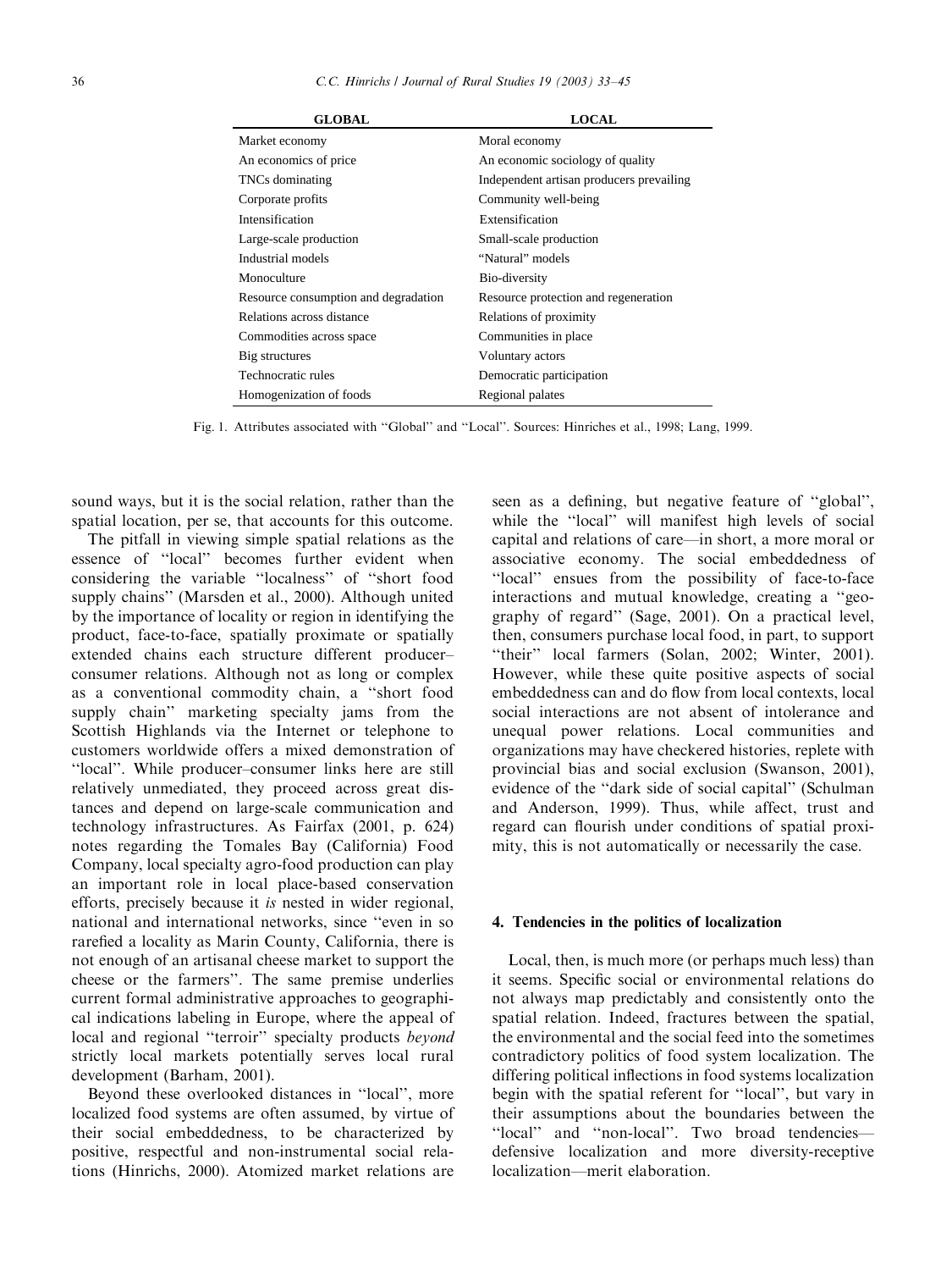| <b>GLOBAL</b>                        | <b>LOCAL</b>                             |
|--------------------------------------|------------------------------------------|
| Market economy                       | Moral economy                            |
| An economics of price                | An economic sociology of quality         |
| TNCs dominating                      | Independent artisan producers prevailing |
| Corporate profits                    | Community well-being                     |
| Intensification                      | Extensification                          |
| Large-scale production               | Small-scale production                   |
| Industrial models                    | "Natural" models                         |
| Monoculture                          | Bio-diversity                            |
| Resource consumption and degradation | Resource protection and regeneration     |
| Relations across distance            | Relations of proximity                   |
| Commodities across space             | Communities in place                     |
| Big structures                       | Voluntary actors                         |
| Technocratic rules                   | Democratic participation                 |
| Homogenization of foods              | Regional palates                         |
|                                      |                                          |

Fig. 1. Attributes associated with ''Global'' and ''Local''. Sources: Hinriches et al., 1998; Lang, 1999.

sound ways, but it is the social relation, rather than the spatial location, per se, that accounts for this outcome.

The pitfall in viewing simple spatial relations as the essence of ''local'' becomes further evident when considering the variable ''localness'' of ''short food supply chains'' (Marsden et al., 2000). Although united by the importance of locality or region in identifying the product, face-to-face, spatially proximate or spatially extended chains each structure different producer– consumer relations. Although not as long or complex as a conventional commodity chain, a ''short food supply chain'' marketing specialty jams from the Scottish Highlands via the Internet or telephone to customers worldwide offers a mixed demonstration of ''local''. While producer–consumer links here are still relatively unmediated, they proceed across great distances and depend on large-scale communication and technology infrastructures. As Fairfax (2001, p. 624) notes regarding the Tomales Bay (California) Food Company, local specialty agro-food production can play an important role in local place-based conservation efforts, precisely because it is nested in wider regional, national and international networks, since ''even in so rarefied a locality as Marin County, California, there is not enough of an artisanal cheese market to support the cheese or the farmers''. The same premise underlies current formal administrative approaches to geographical indications labeling in Europe, where the appeal of local and regional "terroir" specialty products beyond strictly local markets potentially serves local rural development (Barham, 2001).

Beyond these overlooked distances in ''local'', more localized food systems are often assumed, by virtue of their social embeddedness, to be characterized by positive, respectful and non-instrumental social relations (Hinrichs, 2000). Atomized market relations are seen as a defining, but negative feature of ''global'', while the ''local'' will manifest high levels of social capital and relations of care—in short, a more moral or associative economy. The social embeddedness of ''local'' ensues from the possibility of face-to-face interactions and mutual knowledge, creating a ''geography of regard'' (Sage, 2001). On a practical level, then, consumers purchase local food, in part, to support "their" local farmers (Solan, 2002; Winter, 2001). However, while these quite positive aspects of social embeddedness can and do flow from local contexts, local social interactions are not absent of intolerance and unequal power relations. Local communities and organizations may have checkered histories, replete with provincial bias and social exclusion (Swanson, 2001), evidence of the ''dark side of social capital'' (Schulman and Anderson, 1999). Thus, while affect, trust and regard can flourish under conditions of spatial proximity, this is not automatically or necessarily the case.

# 4. Tendencies in the politics of localization

Local, then, is much more (or perhaps much less) than it seems. Specific social or environmental relations do not always map predictably and consistently onto the spatial relation. Indeed, fractures between the spatial, the environmental and the social feed into the sometimes contradictory politics of food system localization. The differing political inflections in food systems localization begin with the spatial referent for ''local'', but vary in their assumptions about the boundaries between the "local" and "non-local". Two broad tendenciesdefensive localization and more diversity-receptive localization—merit elaboration.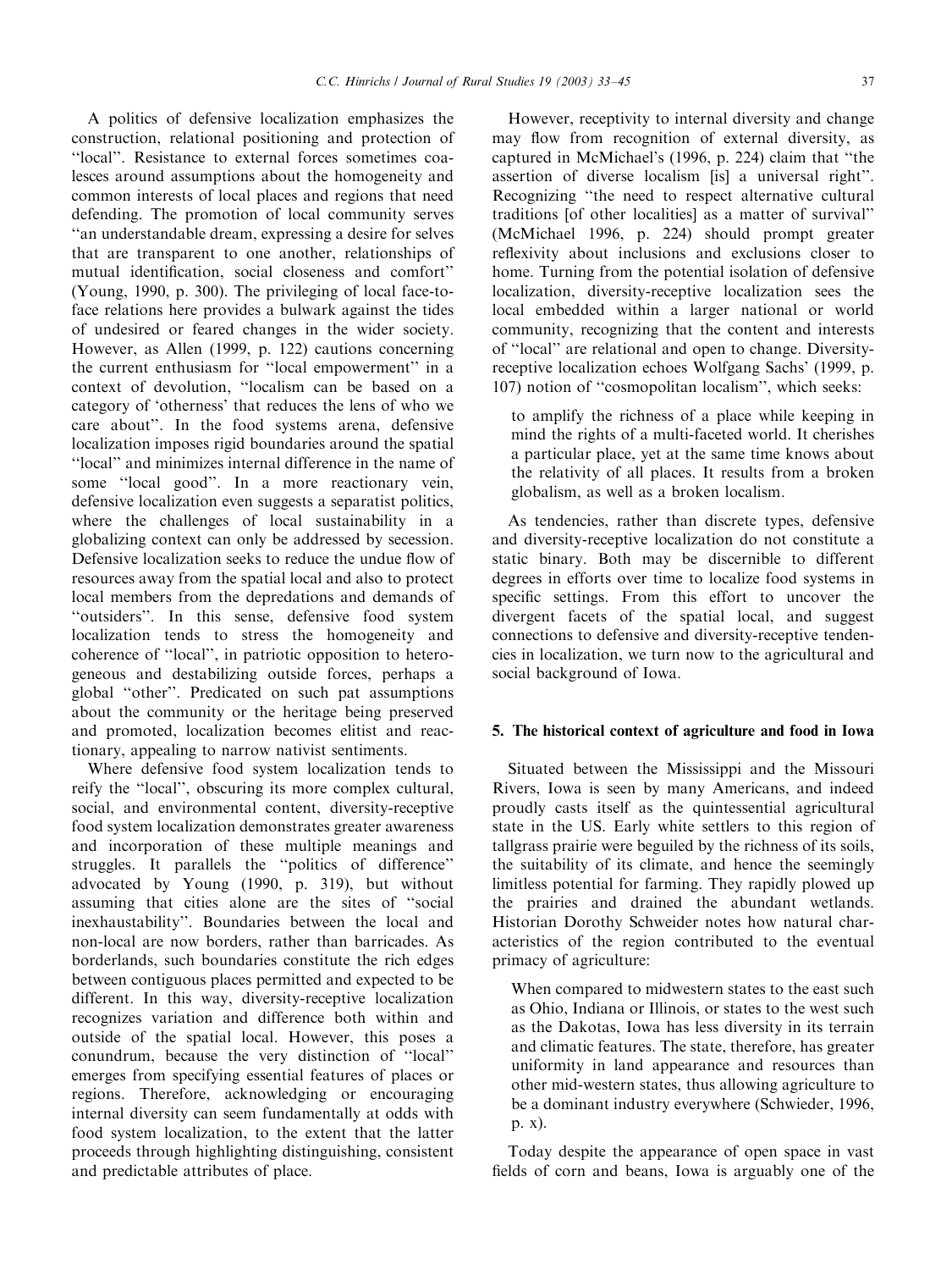A politics of defensive localization emphasizes the construction, relational positioning and protection of ''local''. Resistance to external forces sometimes coalesces around assumptions about the homogeneity and common interests of local places and regions that need defending. The promotion of local community serves ''an understandable dream, expressing a desire for selves that are transparent to one another, relationships of mutual identification, social closeness and comfort'' (Young, 1990, p. 300). The privileging of local face-toface relations here provides a bulwark against the tides of undesired or feared changes in the wider society. However, as Allen (1999, p. 122) cautions concerning the current enthusiasm for ''local empowerment'' in a context of devolution, ''localism can be based on a category of 'otherness' that reduces the lens of who we care about''. In the food systems arena, defensive localization imposes rigid boundaries around the spatial ''local'' and minimizes internal difference in the name of some "local good". In a more reactionary vein, defensive localization even suggests a separatist politics, where the challenges of local sustainability in a globalizing context can only be addressed by secession. Defensive localization seeks to reduce the undue flow of resources away from the spatial local and also to protect local members from the depredations and demands of ''outsiders''. In this sense, defensive food system localization tends to stress the homogeneity and coherence of ''local'', in patriotic opposition to heterogeneous and destabilizing outside forces, perhaps a global ''other''. Predicated on such pat assumptions about the community or the heritage being preserved and promoted, localization becomes elitist and reactionary, appealing to narrow nativist sentiments.

Where defensive food system localization tends to reify the ''local'', obscuring its more complex cultural, social, and environmental content, diversity-receptive food system localization demonstrates greater awareness and incorporation of these multiple meanings and struggles. It parallels the ''politics of difference'' advocated by Young (1990, p. 319), but without assuming that cities alone are the sites of ''social inexhaustability''. Boundaries between the local and non-local are now borders, rather than barricades. As borderlands, such boundaries constitute the rich edges between contiguous places permitted and expected to be different. In this way, diversity-receptive localization recognizes variation and difference both within and outside of the spatial local. However, this poses a conundrum, because the very distinction of ''local'' emerges from specifying essential features of places or regions. Therefore, acknowledging or encouraging internal diversity can seem fundamentally at odds with food system localization, to the extent that the latter proceeds through highlighting distinguishing, consistent and predictable attributes of place.

However, receptivity to internal diversity and change may flow from recognition of external diversity, as captured in McMichael's (1996, p. 224) claim that ''the assertion of diverse localism [is] a universal right''. Recognizing ''the need to respect alternative cultural traditions [of other localities] as a matter of survival'' (McMichael 1996, p. 224) should prompt greater reflexivity about inclusions and exclusions closer to home. Turning from the potential isolation of defensive localization, diversity-receptive localization sees the local embedded within a larger national or world community, recognizing that the content and interests of ''local'' are relational and open to change. Diversityreceptive localization echoes Wolfgang Sachs' (1999, p. 107) notion of ''cosmopolitan localism'', which seeks:

to amplify the richness of a place while keeping in mind the rights of a multi-faceted world. It cherishes a particular place, yet at the same time knows about the relativity of all places. It results from a broken globalism, as well as a broken localism.

As tendencies, rather than discrete types, defensive and diversity-receptive localization do not constitute a static binary. Both may be discernible to different degrees in efforts over time to localize food systems in specific settings. From this effort to uncover the divergent facets of the spatial local, and suggest connections to defensive and diversity-receptive tendencies in localization, we turn now to the agricultural and social background of Iowa.

# 5. The historical context of agriculture and food in Iowa

Situated between the Mississippi and the Missouri Rivers, Iowa is seen by many Americans, and indeed proudly casts itself as the quintessential agricultural state in the US. Early white settlers to this region of tallgrass prairie were beguiled by the richness of its soils, the suitability of its climate, and hence the seemingly limitless potential for farming. They rapidly plowed up the prairies and drained the abundant wetlands. Historian Dorothy Schweider notes how natural characteristics of the region contributed to the eventual primacy of agriculture:

When compared to midwestern states to the east such as Ohio, Indiana or Illinois, or states to the west such as the Dakotas, Iowa has less diversity in its terrain and climatic features. The state, therefore, has greater uniformity in land appearance and resources than other mid-western states, thus allowing agriculture to be a dominant industry everywhere (Schwieder, 1996, p. x).

Today despite the appearance of open space in vast fields of corn and beans, Iowa is arguably one of the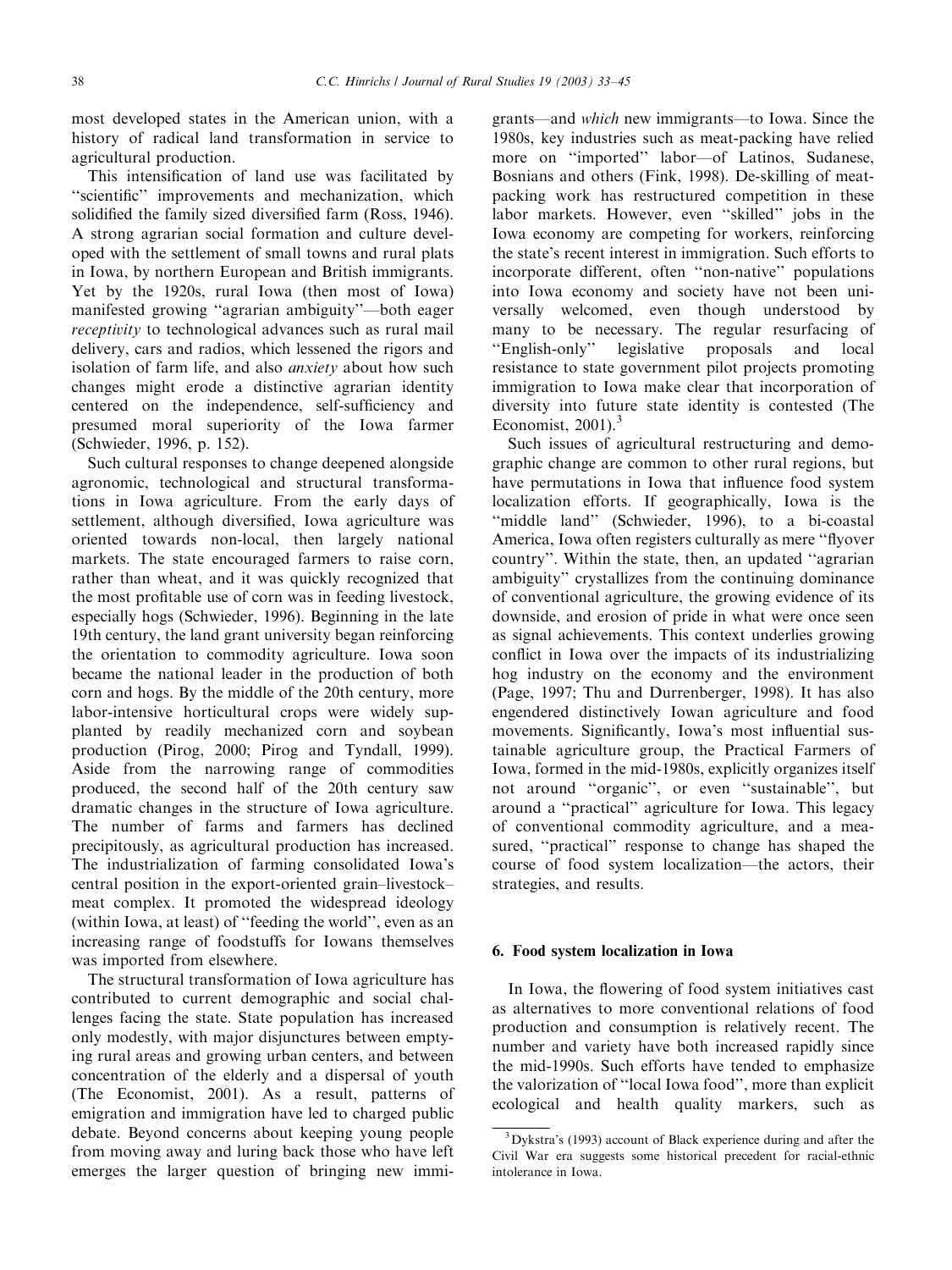most developed states in the American union, with a history of radical land transformation in service to agricultural production.

This intensification of land use was facilitated by ''scientific'' improvements and mechanization, which solidified the family sized diversified farm (Ross, 1946). A strong agrarian social formation and culture developed with the settlement of small towns and rural plats in Iowa, by northern European and British immigrants. Yet by the 1920s, rural Iowa (then most of Iowa) manifested growing ''agrarian ambiguity''—both eager receptivity to technological advances such as rural mail delivery, cars and radios, which lessened the rigors and isolation of farm life, and also anxiety about how such changes might erode a distinctive agrarian identity centered on the independence, self-sufficiency and presumed moral superiority of the Iowa farmer (Schwieder, 1996, p. 152).

Such cultural responses to change deepened alongside agronomic, technological and structural transformations in Iowa agriculture. From the early days of settlement, although diversified, Iowa agriculture was oriented towards non-local, then largely national markets. The state encouraged farmers to raise corn, rather than wheat, and it was quickly recognized that the most profitable use of corn was in feeding livestock, especially hogs (Schwieder, 1996). Beginning in the late 19th century, the land grant university began reinforcing the orientation to commodity agriculture. Iowa soon became the national leader in the production of both corn and hogs. By the middle of the 20th century, more labor-intensive horticultural crops were widely supplanted by readily mechanized corn and soybean production (Pirog, 2000; Pirog and Tyndall, 1999). Aside from the narrowing range of commodities produced, the second half of the 20th century saw dramatic changes in the structure of Iowa agriculture. The number of farms and farmers has declined precipitously, as agricultural production has increased. The industrialization of farming consolidated Iowa's central position in the export-oriented grain–livestock– meat complex. It promoted the widespread ideology (within Iowa, at least) of ''feeding the world'', even as an increasing range of foodstuffs for Iowans themselves was imported from elsewhere.

The structural transformation of Iowa agriculture has contributed to current demographic and social challenges facing the state. State population has increased only modestly, with major disjunctures between emptying rural areas and growing urban centers, and between concentration of the elderly and a dispersal of youth (The Economist, 2001). As a result, patterns of emigration and immigration have led to charged public debate. Beyond concerns about keeping young people from moving away and luring back those who have left emerges the larger question of bringing new immigrants—and which new immigrants—to Iowa. Since the 1980s, key industries such as meat-packing have relied more on ''imported'' labor—of Latinos, Sudanese, Bosnians and others (Fink, 1998). De-skilling of meatpacking work has restructured competition in these labor markets. However, even ''skilled'' jobs in the Iowa economy are competing for workers, reinforcing the state's recent interest in immigration. Such efforts to incorporate different, often ''non-native'' populations into Iowa economy and society have not been universally welcomed, even though understood by many to be necessary. The regular resurfacing of ''English-only'' legislative proposals and local resistance to state government pilot projects promoting immigration to Iowa make clear that incorporation of diversity into future state identity is contested (The Economist,  $2001$ <sup>3</sup>

Such issues of agricultural restructuring and demographic change are common to other rural regions, but have permutations in Iowa that influence food system localization efforts. If geographically, Iowa is the "middle land" (Schwieder, 1996), to a bi-coastal America, Iowa often registers culturally as mere ''flyover country''. Within the state, then, an updated ''agrarian ambiguity'' crystallizes from the continuing dominance of conventional agriculture, the growing evidence of its downside, and erosion of pride in what were once seen as signal achievements. This context underlies growing conflict in Iowa over the impacts of its industrializing hog industry on the economy and the environment (Page, 1997; Thu and Durrenberger, 1998). It has also engendered distinctively Iowan agriculture and food movements. Significantly, Iowa's most influential sustainable agriculture group, the Practical Farmers of Iowa, formed in the mid-1980s, explicitly organizes itself not around ''organic'', or even ''sustainable'', but around a ''practical'' agriculture for Iowa. This legacy of conventional commodity agriculture, and a measured, ''practical'' response to change has shaped the course of food system localization—the actors, their strategies, and results.

#### 6. Food system localization in Iowa

In Iowa, the flowering of food system initiatives cast as alternatives to more conventional relations of food production and consumption is relatively recent. The number and variety have both increased rapidly since the mid-1990s. Such efforts have tended to emphasize the valorization of ''local Iowa food'', more than explicit ecological and health quality markers, such as

<sup>&</sup>lt;sup>3</sup> Dykstra's (1993) account of Black experience during and after the Civil War era suggests some historical precedent for racial-ethnic intolerance in Iowa.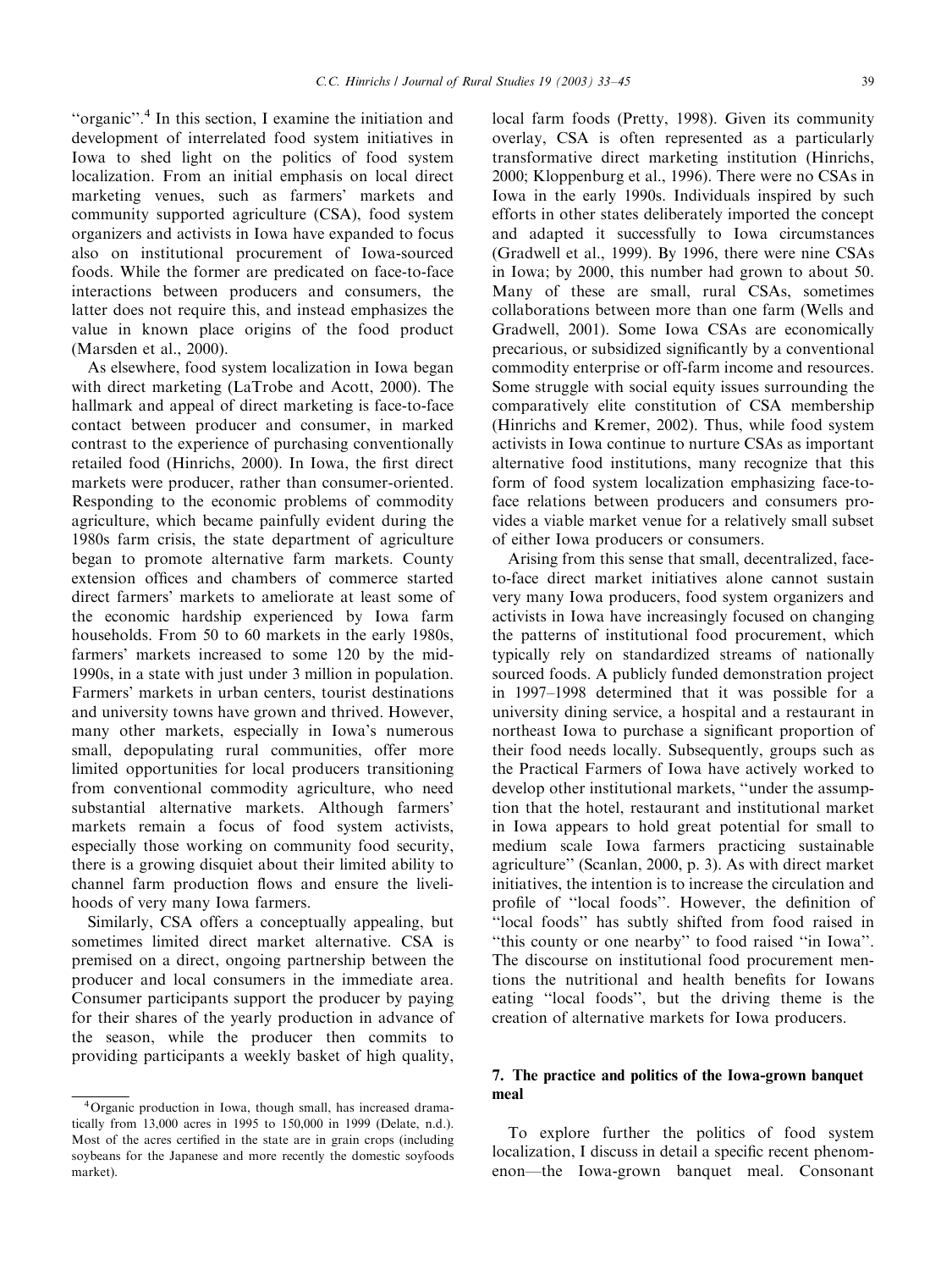''organic''.<sup>4</sup> In this section, I examine the initiation and development of interrelated food system initiatives in Iowa to shed light on the politics of food system localization. From an initial emphasis on local direct marketing venues, such as farmers' markets and community supported agriculture (CSA), food system organizers and activists in Iowa have expanded to focus also on institutional procurement of Iowa-sourced foods. While the former are predicated on face-to-face interactions between producers and consumers, the latter does not require this, and instead emphasizes the value in known place origins of the food product (Marsden et al., 2000).

As elsewhere, food system localization in Iowa began with direct marketing (LaTrobe and Acott, 2000). The hallmark and appeal of direct marketing is face-to-face contact between producer and consumer, in marked contrast to the experience of purchasing conventionally retailed food (Hinrichs, 2000). In Iowa, the first direct markets were producer, rather than consumer-oriented. Responding to the economic problems of commodity agriculture, which became painfully evident during the 1980s farm crisis, the state department of agriculture began to promote alternative farm markets. County extension offices and chambers of commerce started direct farmers' markets to ameliorate at least some of the economic hardship experienced by Iowa farm households. From 50 to 60 markets in the early 1980s, farmers' markets increased to some 120 by the mid-1990s, in a state with just under 3 million in population. Farmers' markets in urban centers, tourist destinations and university towns have grown and thrived. However, many other markets, especially in Iowa's numerous small, depopulating rural communities, offer more limited opportunities for local producers transitioning from conventional commodity agriculture, who need substantial alternative markets. Although farmers' markets remain a focus of food system activists, especially those working on community food security, there is a growing disquiet about their limited ability to channel farm production flows and ensure the livelihoods of very many Iowa farmers.

Similarly, CSA offers a conceptually appealing, but sometimes limited direct market alternative. CSA is premised on a direct, ongoing partnership between the producer and local consumers in the immediate area. Consumer participants support the producer by paying for their shares of the yearly production in advance of the season, while the producer then commits to providing participants a weekly basket of high quality,

local farm foods (Pretty, 1998). Given its community overlay, CSA is often represented as a particularly transformative direct marketing institution (Hinrichs, 2000; Kloppenburg et al., 1996). There were no CSAs in Iowa in the early 1990s. Individuals inspired by such efforts in other states deliberately imported the concept and adapted it successfully to Iowa circumstances (Gradwell et al., 1999). By 1996, there were nine CSAs in Iowa; by 2000, this number had grown to about 50. Many of these are small, rural CSAs, sometimes collaborations between more than one farm (Wells and Gradwell, 2001). Some Iowa CSAs are economically precarious, or subsidized significantly by a conventional commodity enterprise or off-farm income and resources. Some struggle with social equity issues surrounding the comparatively elite constitution of CSA membership (Hinrichs and Kremer, 2002). Thus, while food system activists in Iowa continue to nurture CSAs as important alternative food institutions, many recognize that this form of food system localization emphasizing face-toface relations between producers and consumers provides a viable market venue for a relatively small subset of either Iowa producers or consumers.

Arising from this sense that small, decentralized, faceto-face direct market initiatives alone cannot sustain very many Iowa producers, food system organizers and activists in Iowa have increasingly focused on changing the patterns of institutional food procurement, which typically rely on standardized streams of nationally sourced foods. A publicly funded demonstration project in 1997–1998 determined that it was possible for a university dining service, a hospital and a restaurant in northeast Iowa to purchase a significant proportion of their food needs locally. Subsequently, groups such as the Practical Farmers of Iowa have actively worked to develop other institutional markets, ''under the assumption that the hotel, restaurant and institutional market in Iowa appears to hold great potential for small to medium scale Iowa farmers practicing sustainable agriculture'' (Scanlan, 2000, p. 3). As with direct market initiatives, the intention is to increase the circulation and profile of ''local foods''. However, the definition of ''local foods'' has subtly shifted from food raised in ''this county or one nearby'' to food raised ''in Iowa''. The discourse on institutional food procurement mentions the nutritional and health benefits for Iowans eating ''local foods'', but the driving theme is the creation of alternative markets for Iowa producers.

# 7. The practice and politics of the Iowa-grown banquet meal

To explore further the politics of food system localization, I discuss in detail a specific recent phenomenon—the Iowa-grown banquet meal. Consonant

<sup>4</sup>Organic production in Iowa, though small, has increased dramatically from 13,000 acres in 1995 to 150,000 in 1999 (Delate, n.d.). Most of the acres certified in the state are in grain crops (including soybeans for the Japanese and more recently the domestic soyfoods market).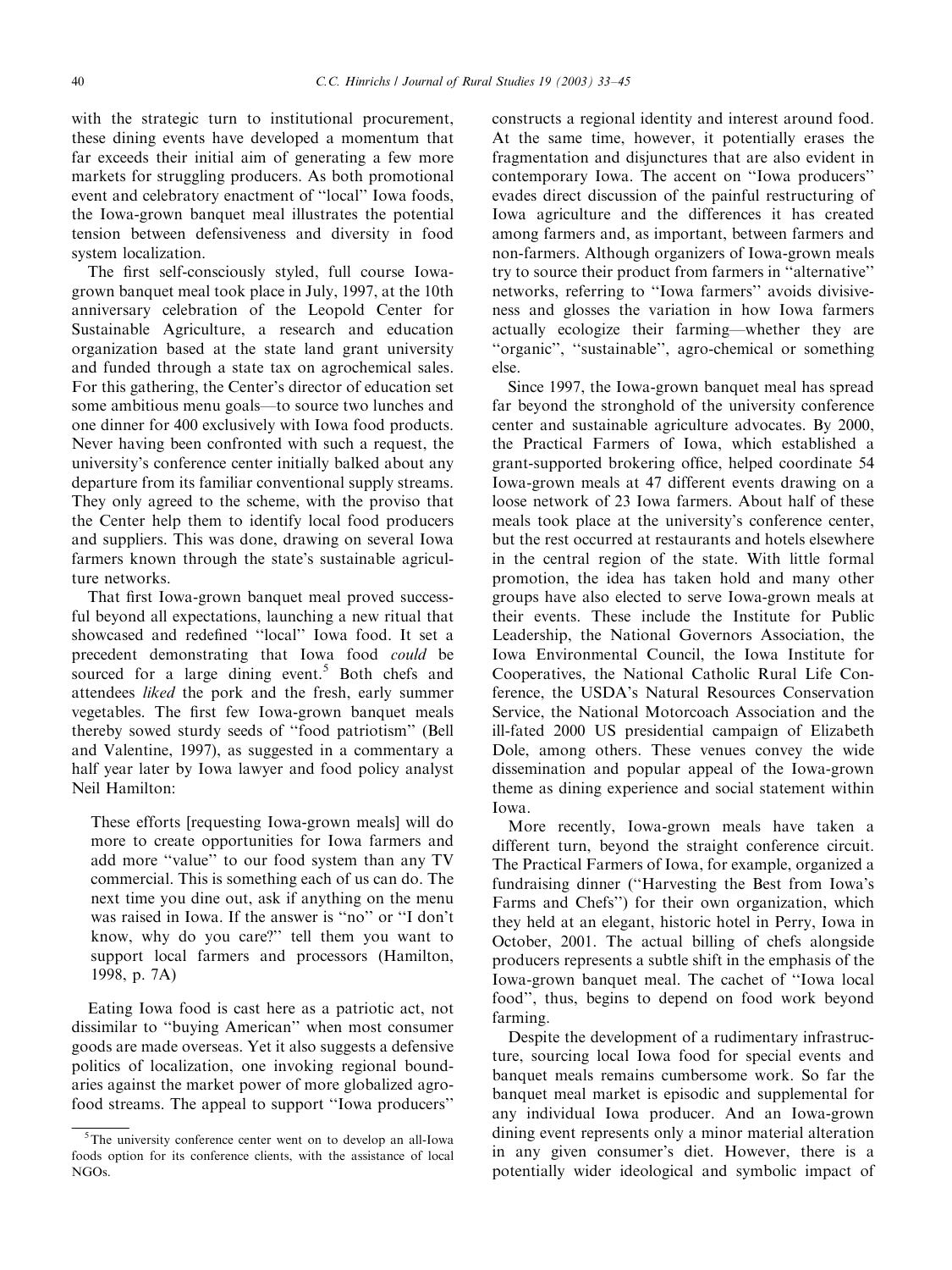with the strategic turn to institutional procurement, these dining events have developed a momentum that far exceeds their initial aim of generating a few more markets for struggling producers. As both promotional event and celebratory enactment of ''local'' Iowa foods, the Iowa-grown banquet meal illustrates the potential tension between defensiveness and diversity in food system localization.

The first self-consciously styled, full course Iowagrown banquet meal took place in July, 1997, at the 10th anniversary celebration of the Leopold Center for Sustainable Agriculture, a research and education organization based at the state land grant university and funded through a state tax on agrochemical sales. For this gathering, the Center's director of education set some ambitious menu goals—to source two lunches and one dinner for 400 exclusively with Iowa food products. Never having been confronted with such a request, the university's conference center initially balked about any departure from its familiar conventional supply streams. They only agreed to the scheme, with the proviso that the Center help them to identify local food producers and suppliers. This was done, drawing on several Iowa farmers known through the state's sustainable agriculture networks.

That first Iowa-grown banquet meal proved successful beyond all expectations, launching a new ritual that showcased and redefined ''local'' Iowa food. It set a precedent demonstrating that Iowa food could be sourced for a large dining event.<sup>5</sup> Both chefs and attendees liked the pork and the fresh, early summer vegetables. The first few Iowa-grown banquet meals thereby sowed sturdy seeds of ''food patriotism'' (Bell and Valentine, 1997), as suggested in a commentary a half year later by Iowa lawyer and food policy analyst Neil Hamilton:

These efforts [requesting Iowa-grown meals] will do more to create opportunities for Iowa farmers and add more ''value'' to our food system than any TV commercial. This is something each of us can do. The next time you dine out, ask if anything on the menu was raised in Iowa. If the answer is ''no'' or ''I don't know, why do you care?'' tell them you want to support local farmers and processors (Hamilton, 1998, p. 7A)

Eating Iowa food is cast here as a patriotic act, not dissimilar to ''buying American'' when most consumer goods are made overseas. Yet it also suggests a defensive politics of localization, one invoking regional boundaries against the market power of more globalized agrofood streams. The appeal to support ''Iowa producers''

constructs a regional identity and interest around food. At the same time, however, it potentially erases the fragmentation and disjunctures that are also evident in contemporary Iowa. The accent on ''Iowa producers'' evades direct discussion of the painful restructuring of Iowa agriculture and the differences it has created among farmers and, as important, between farmers and non-farmers. Although organizers of Iowa-grown meals try to source their product from farmers in ''alternative'' networks, referring to ''Iowa farmers'' avoids divisiveness and glosses the variation in how Iowa farmers actually ecologize their farming—whether they are "organic", "sustainable", agro-chemical or something else.

Since 1997, the Iowa-grown banquet meal has spread far beyond the stronghold of the university conference center and sustainable agriculture advocates. By 2000, the Practical Farmers of Iowa, which established a grant-supported brokering office, helped coordinate 54 Iowa-grown meals at 47 different events drawing on a loose network of 23 Iowa farmers. About half of these meals took place at the university's conference center, but the rest occurred at restaurants and hotels elsewhere in the central region of the state. With little formal promotion, the idea has taken hold and many other groups have also elected to serve Iowa-grown meals at their events. These include the Institute for Public Leadership, the National Governors Association, the Iowa Environmental Council, the Iowa Institute for Cooperatives, the National Catholic Rural Life Conference, the USDA's Natural Resources Conservation Service, the National Motorcoach Association and the ill-fated 2000 US presidential campaign of Elizabeth Dole, among others. These venues convey the wide dissemination and popular appeal of the Iowa-grown theme as dining experience and social statement within Iowa.

More recently, Iowa-grown meals have taken a different turn, beyond the straight conference circuit. The Practical Farmers of Iowa, for example, organized a fundraising dinner (''Harvesting the Best from Iowa's Farms and Chefs'') for their own organization, which they held at an elegant, historic hotel in Perry, Iowa in October, 2001. The actual billing of chefs alongside producers represents a subtle shift in the emphasis of the Iowa-grown banquet meal. The cachet of ''Iowa local food'', thus, begins to depend on food work beyond farming.

Despite the development of a rudimentary infrastructure, sourcing local Iowa food for special events and banquet meals remains cumbersome work. So far the banquet meal market is episodic and supplemental for any individual Iowa producer. And an Iowa-grown dining event represents only a minor material alteration in any given consumer's diet. However, there is a potentially wider ideological and symbolic impact of

<sup>5</sup> The university conference center went on to develop an all-Iowa foods option for its conference clients, with the assistance of local NGOs.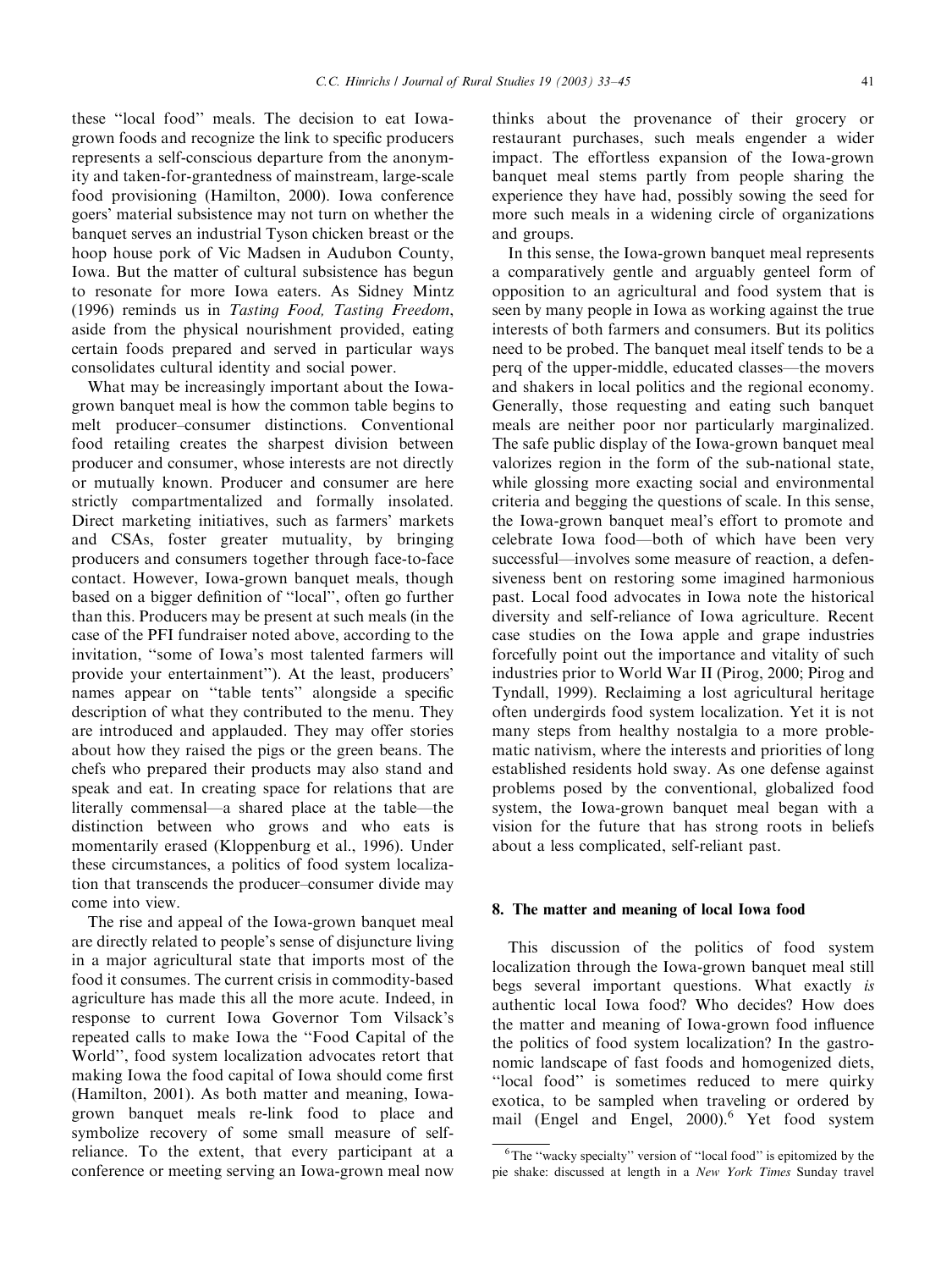these ''local food'' meals. The decision to eat Iowagrown foods and recognize the link to specific producers represents a self-conscious departure from the anonymity and taken-for-grantedness of mainstream, large-scale food provisioning (Hamilton, 2000). Iowa conference goers' material subsistence may not turn on whether the banquet serves an industrial Tyson chicken breast or the hoop house pork of Vic Madsen in Audubon County, Iowa. But the matter of cultural subsistence has begun to resonate for more Iowa eaters. As Sidney Mintz (1996) reminds us in Tasting Food, Tasting Freedom, aside from the physical nourishment provided, eating certain foods prepared and served in particular ways consolidates cultural identity and social power.

What may be increasingly important about the Iowagrown banquet meal is how the common table begins to melt producer–consumer distinctions. Conventional food retailing creates the sharpest division between producer and consumer, whose interests are not directly or mutually known. Producer and consumer are here strictly compartmentalized and formally insolated. Direct marketing initiatives, such as farmers' markets and CSAs, foster greater mutuality, by bringing producers and consumers together through face-to-face contact. However, Iowa-grown banquet meals, though based on a bigger definition of ''local'', often go further than this. Producers may be present at such meals (in the case of the PFI fundraiser noted above, according to the invitation, ''some of Iowa's most talented farmers will provide your entertainment''). At the least, producers' names appear on ''table tents'' alongside a specific description of what they contributed to the menu. They are introduced and applauded. They may offer stories about how they raised the pigs or the green beans. The chefs who prepared their products may also stand and speak and eat. In creating space for relations that are literally commensal—a shared place at the table—the distinction between who grows and who eats is momentarily erased (Kloppenburg et al., 1996). Under these circumstances, a politics of food system localization that transcends the producer–consumer divide may come into view.

The rise and appeal of the Iowa-grown banquet meal are directly related to people's sense of disjuncture living in a major agricultural state that imports most of the food it consumes. The current crisis in commodity-based agriculture has made this all the more acute. Indeed, in response to current Iowa Governor Tom Vilsack's repeated calls to make Iowa the ''Food Capital of the World'', food system localization advocates retort that making Iowa the food capital of Iowa should come first (Hamilton, 2001). As both matter and meaning, Iowagrown banquet meals re-link food to place and symbolize recovery of some small measure of selfreliance. To the extent, that every participant at a conference or meeting serving an Iowa-grown meal now

thinks about the provenance of their grocery or restaurant purchases, such meals engender a wider impact. The effortless expansion of the Iowa-grown banquet meal stems partly from people sharing the experience they have had, possibly sowing the seed for more such meals in a widening circle of organizations and groups.

In this sense, the Iowa-grown banquet meal represents a comparatively gentle and arguably genteel form of opposition to an agricultural and food system that is seen by many people in Iowa as working against the true interests of both farmers and consumers. But its politics need to be probed. The banquet meal itself tends to be a perq of the upper-middle, educated classes—the movers and shakers in local politics and the regional economy. Generally, those requesting and eating such banquet meals are neither poor nor particularly marginalized. The safe public display of the Iowa-grown banquet meal valorizes region in the form of the sub-national state, while glossing more exacting social and environmental criteria and begging the questions of scale. In this sense, the Iowa-grown banquet meal's effort to promote and celebrate Iowa food—both of which have been very successful—involves some measure of reaction, a defensiveness bent on restoring some imagined harmonious past. Local food advocates in Iowa note the historical diversity and self-reliance of Iowa agriculture. Recent case studies on the Iowa apple and grape industries forcefully point out the importance and vitality of such industries prior to World War II (Pirog, 2000; Pirog and Tyndall, 1999). Reclaiming a lost agricultural heritage often undergirds food system localization. Yet it is not many steps from healthy nostalgia to a more problematic nativism, where the interests and priorities of long established residents hold sway. As one defense against problems posed by the conventional, globalized food system, the Iowa-grown banquet meal began with a vision for the future that has strong roots in beliefs about a less complicated, self-reliant past.

## 8. The matter and meaning of local Iowa food

This discussion of the politics of food system localization through the Iowa-grown banquet meal still begs several important questions. What exactly is authentic local Iowa food? Who decides? How does the matter and meaning of Iowa-grown food influence the politics of food system localization? In the gastronomic landscape of fast foods and homogenized diets, "local food" is sometimes reduced to mere quirky exotica, to be sampled when traveling or ordered by mail (Engel and Engel, 2000).<sup>6</sup> Yet food system

<sup>&</sup>lt;sup>6</sup>The "wacky specialty" version of "local food" is epitomized by the pie shake: discussed at length in a New York Times Sunday travel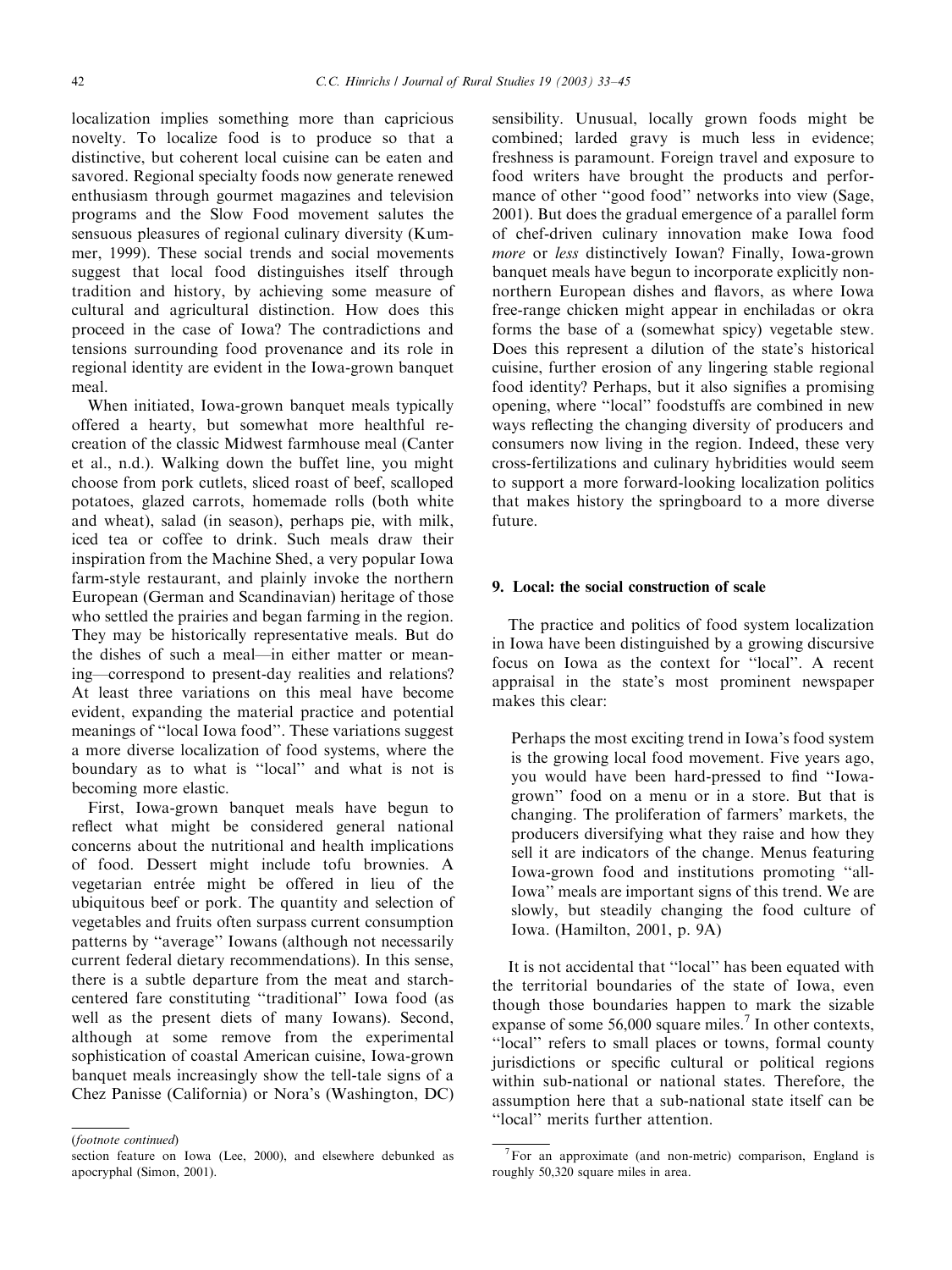localization implies something more than capricious novelty. To localize food is to produce so that a distinctive, but coherent local cuisine can be eaten and savored. Regional specialty foods now generate renewed enthusiasm through gourmet magazines and television programs and the Slow Food movement salutes the sensuous pleasures of regional culinary diversity (Kummer, 1999). These social trends and social movements suggest that local food distinguishes itself through tradition and history, by achieving some measure of cultural and agricultural distinction. How does this proceed in the case of Iowa? The contradictions and tensions surrounding food provenance and its role in regional identity are evident in the Iowa-grown banquet meal.

When initiated, Iowa-grown banquet meals typically offered a hearty, but somewhat more healthful recreation of the classic Midwest farmhouse meal (Canter et al., n.d.). Walking down the buffet line, you might choose from pork cutlets, sliced roast of beef, scalloped potatoes, glazed carrots, homemade rolls (both white and wheat), salad (in season), perhaps pie, with milk, iced tea or coffee to drink. Such meals draw their inspiration from the Machine Shed, a very popular Iowa farm-style restaurant, and plainly invoke the northern European (German and Scandinavian) heritage of those who settled the prairies and began farming in the region. They may be historically representative meals. But do the dishes of such a meal—in either matter or meaning—correspond to present-day realities and relations? At least three variations on this meal have become evident, expanding the material practice and potential meanings of ''local Iowa food''. These variations suggest a more diverse localization of food systems, where the boundary as to what is ''local'' and what is not is becoming more elastic.

First, Iowa-grown banquet meals have begun to reflect what might be considered general national concerns about the nutritional and health implications of food. Dessert might include tofu brownies. A vegetarian entrée might be offered in lieu of the ubiquitous beef or pork. The quantity and selection of vegetables and fruits often surpass current consumption patterns by ''average'' Iowans (although not necessarily current federal dietary recommendations). In this sense, there is a subtle departure from the meat and starchcentered fare constituting ''traditional'' Iowa food (as well as the present diets of many Iowans). Second, although at some remove from the experimental sophistication of coastal American cuisine, Iowa-grown banquet meals increasingly show the tell-tale signs of a Chez Panisse (California) or Nora's (Washington, DC) sensibility. Unusual, locally grown foods might be combined; larded gravy is much less in evidence; freshness is paramount. Foreign travel and exposure to food writers have brought the products and performance of other ''good food'' networks into view (Sage, 2001). But does the gradual emergence of a parallel form of chef-driven culinary innovation make Iowa food more or less distinctively Iowan? Finally, Iowa-grown banquet meals have begun to incorporate explicitly nonnorthern European dishes and flavors, as where Iowa free-range chicken might appear in enchiladas or okra forms the base of a (somewhat spicy) vegetable stew. Does this represent a dilution of the state's historical cuisine, further erosion of any lingering stable regional food identity? Perhaps, but it also signifies a promising opening, where ''local'' foodstuffs are combined in new ways reflecting the changing diversity of producers and consumers now living in the region. Indeed, these very cross-fertilizations and culinary hybridities would seem to support a more forward-looking localization politics that makes history the springboard to a more diverse future.

### 9. Local: the social construction of scale

The practice and politics of food system localization in Iowa have been distinguished by a growing discursive focus on Iowa as the context for ''local''. A recent appraisal in the state's most prominent newspaper makes this clear:

Perhaps the most exciting trend in Iowa's food system is the growing local food movement. Five years ago, you would have been hard-pressed to find ''Iowagrown'' food on a menu or in a store. But that is changing. The proliferation of farmers' markets, the producers diversifying what they raise and how they sell it are indicators of the change. Menus featuring Iowa-grown food and institutions promoting ''all-Iowa'' meals are important signs of this trend. We are slowly, but steadily changing the food culture of Iowa. (Hamilton, 2001, p. 9A)

It is not accidental that ''local'' has been equated with the territorial boundaries of the state of Iowa, even though those boundaries happen to mark the sizable expanse of some 56,000 square miles.<sup>7</sup> In other contexts, ''local'' refers to small places or towns, formal county jurisdictions or specific cultural or political regions within sub-national or national states. Therefore, the assumption here that a sub-national state itself can be ''local'' merits further attention.

<sup>(</sup>footnote continued)

section feature on Iowa (Lee, 2000), and elsewhere debunked as apocryphal (Simon, 2001).

 $7$  For an approximate (and non-metric) comparison, England is roughly 50,320 square miles in area.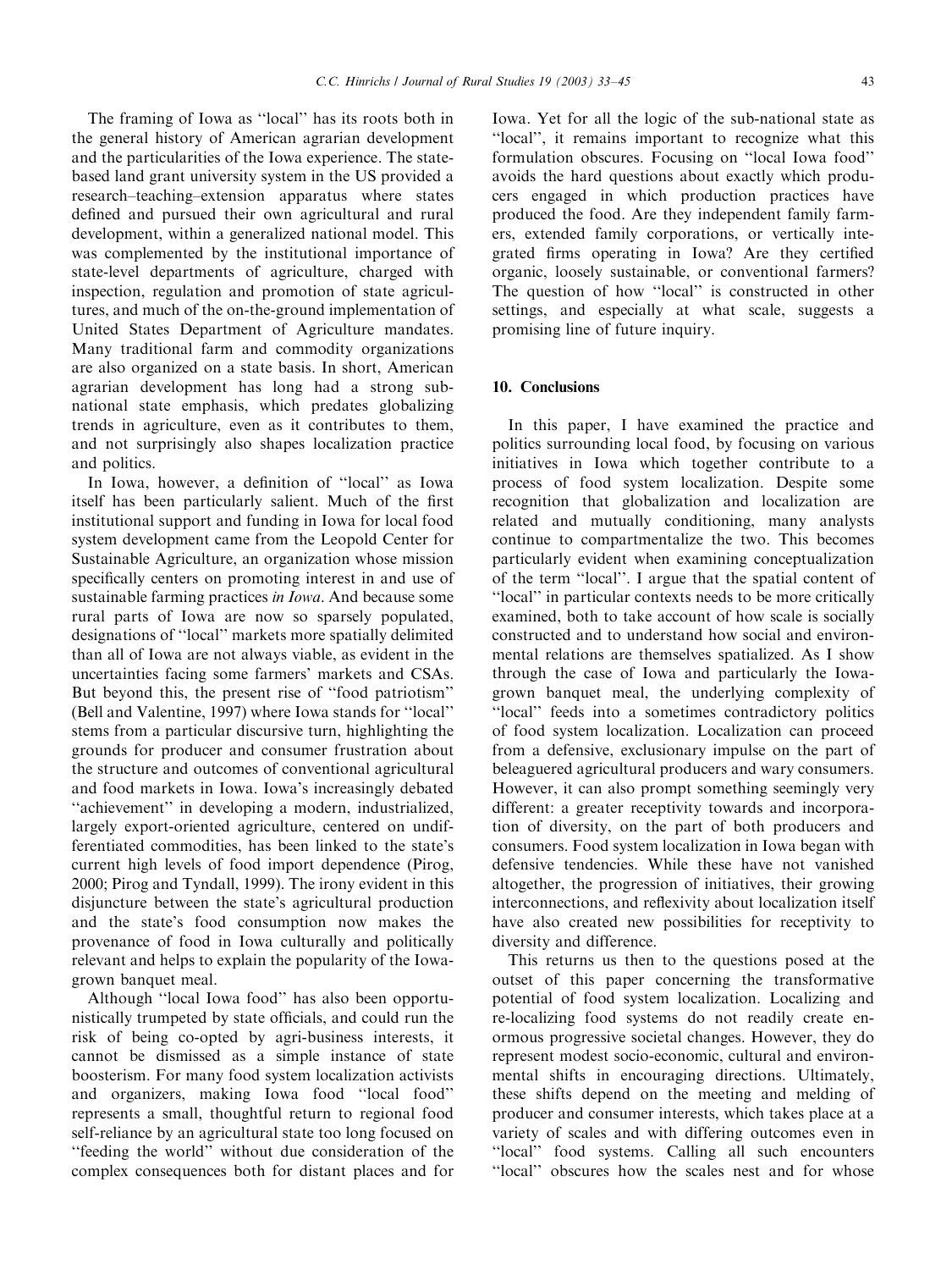The framing of Iowa as ''local'' has its roots both in the general history of American agrarian development and the particularities of the Iowa experience. The statebased land grant university system in the US provided a research–teaching–extension apparatus where states defined and pursued their own agricultural and rural development, within a generalized national model. This was complemented by the institutional importance of state-level departments of agriculture, charged with inspection, regulation and promotion of state agricultures, and much of the on-the-ground implementation of United States Department of Agriculture mandates. Many traditional farm and commodity organizations are also organized on a state basis. In short, American agrarian development has long had a strong subnational state emphasis, which predates globalizing trends in agriculture, even as it contributes to them, and not surprisingly also shapes localization practice and politics.

In Iowa, however, a definition of ''local'' as Iowa itself has been particularly salient. Much of the first institutional support and funding in Iowa for local food system development came from the Leopold Center for Sustainable Agriculture, an organization whose mission specifically centers on promoting interest in and use of sustainable farming practices in Iowa. And because some rural parts of Iowa are now so sparsely populated, designations of ''local'' markets more spatially delimited than all of Iowa are not always viable, as evident in the uncertainties facing some farmers' markets and CSAs. But beyond this, the present rise of ''food patriotism'' (Bell and Valentine, 1997) where Iowa stands for ''local'' stems from a particular discursive turn, highlighting the grounds for producer and consumer frustration about the structure and outcomes of conventional agricultural and food markets in Iowa. Iowa's increasingly debated ''achievement'' in developing a modern, industrialized, largely export-oriented agriculture, centered on undifferentiated commodities, has been linked to the state's current high levels of food import dependence (Pirog, 2000; Pirog and Tyndall, 1999). The irony evident in this disjuncture between the state's agricultural production and the state's food consumption now makes the provenance of food in Iowa culturally and politically relevant and helps to explain the popularity of the Iowagrown banquet meal.

Although ''local Iowa food'' has also been opportunistically trumpeted by state officials, and could run the risk of being co-opted by agri-business interests, it cannot be dismissed as a simple instance of state boosterism. For many food system localization activists and organizers, making Iowa food ''local food'' represents a small, thoughtful return to regional food self-reliance by an agricultural state too long focused on ''feeding the world'' without due consideration of the complex consequences both for distant places and for

Iowa. Yet for all the logic of the sub-national state as ''local'', it remains important to recognize what this formulation obscures. Focusing on ''local Iowa food'' avoids the hard questions about exactly which producers engaged in which production practices have produced the food. Are they independent family farmers, extended family corporations, or vertically integrated firms operating in Iowa? Are they certified organic, loosely sustainable, or conventional farmers? The question of how ''local'' is constructed in other settings, and especially at what scale, suggests a promising line of future inquiry.

# 10. Conclusions

In this paper, I have examined the practice and politics surrounding local food, by focusing on various initiatives in Iowa which together contribute to a process of food system localization. Despite some recognition that globalization and localization are related and mutually conditioning, many analysts continue to compartmentalize the two. This becomes particularly evident when examining conceptualization of the term ''local''. I argue that the spatial content of ''local'' in particular contexts needs to be more critically examined, both to take account of how scale is socially constructed and to understand how social and environmental relations are themselves spatialized. As I show through the case of Iowa and particularly the Iowagrown banquet meal, the underlying complexity of ''local'' feeds into a sometimes contradictory politics of food system localization. Localization can proceed from a defensive, exclusionary impulse on the part of beleaguered agricultural producers and wary consumers. However, it can also prompt something seemingly very different: a greater receptivity towards and incorporation of diversity, on the part of both producers and consumers. Food system localization in Iowa began with defensive tendencies. While these have not vanished altogether, the progression of initiatives, their growing interconnections, and reflexivity about localization itself have also created new possibilities for receptivity to diversity and difference.

This returns us then to the questions posed at the outset of this paper concerning the transformative potential of food system localization. Localizing and re-localizing food systems do not readily create enormous progressive societal changes. However, they do represent modest socio-economic, cultural and environmental shifts in encouraging directions. Ultimately, these shifts depend on the meeting and melding of producer and consumer interests, which takes place at a variety of scales and with differing outcomes even in ''local'' food systems. Calling all such encounters "local" obscures how the scales nest and for whose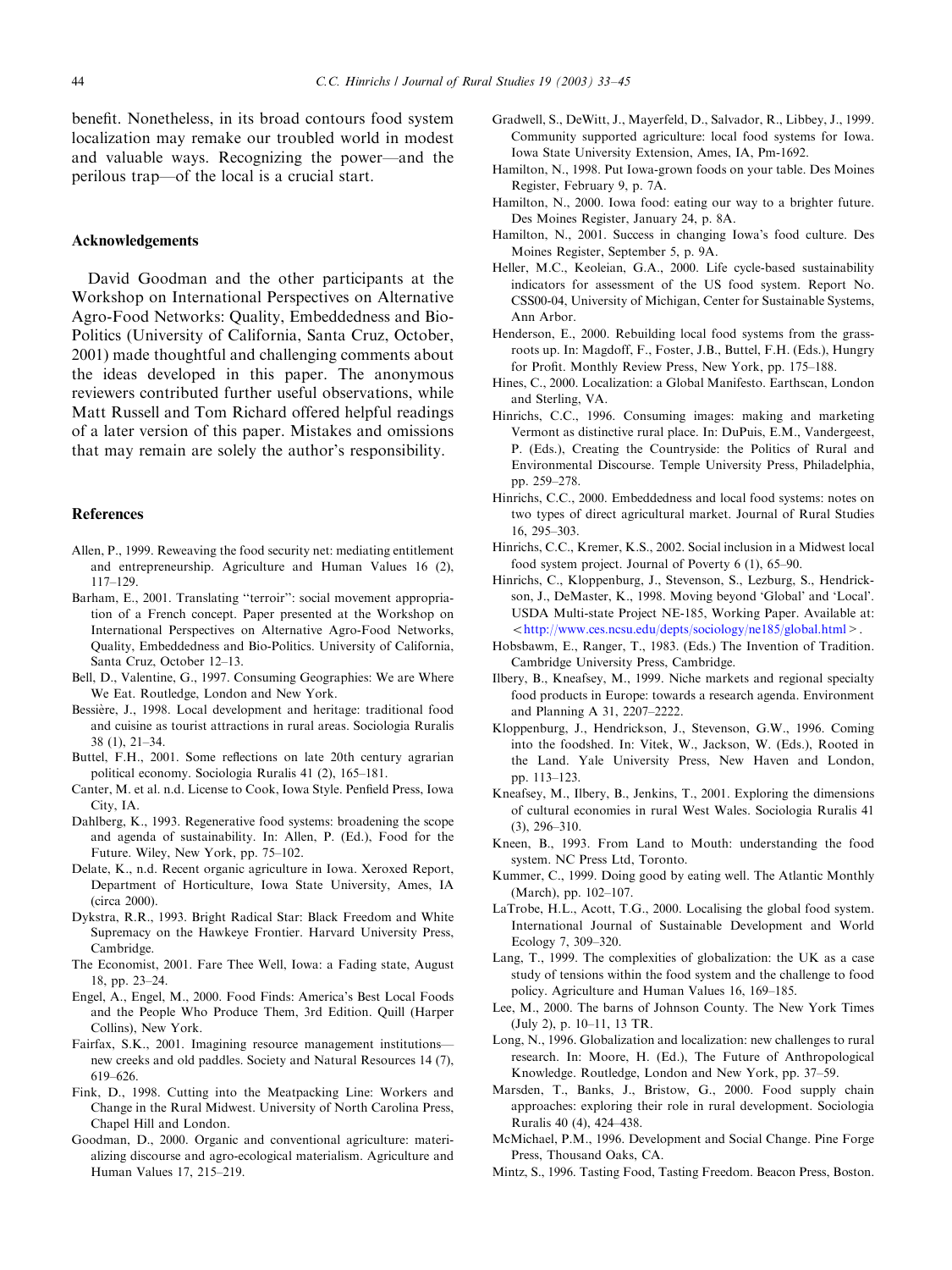benefit. Nonetheless, in its broad contours food system localization may remake our troubled world in modest and valuable ways. Recognizing the power—and the perilous trap—of the local is a crucial start.

## Acknowledgements

David Goodman and the other participants at the Workshop on International Perspectives on Alternative Agro-Food Networks: Quality, Embeddedness and Bio-Politics (University of California, Santa Cruz, October, 2001) made thoughtful and challenging comments about the ideas developed in this paper. The anonymous reviewers contributed further useful observations, while Matt Russell and Tom Richard offered helpful readings of a later version of this paper. Mistakes and omissions that may remain are solely the author's responsibility.

# References

- Allen, P., 1999. Reweaving the food security net: mediating entitlement and entrepreneurship. Agriculture and Human Values 16 (2), 117–129.
- Barham, E., 2001. Translating ''terroir'': social movement appropriation of a French concept. Paper presented at the Workshop on International Perspectives on Alternative Agro-Food Networks, Quality, Embeddedness and Bio-Politics. University of California, Santa Cruz, October 12–13.
- Bell, D., Valentine, G., 1997. Consuming Geographies: We are Where We Eat. Routledge, London and New York.
- Bessière, J., 1998. Local development and heritage: traditional food and cuisine as tourist attractions in rural areas. Sociologia Ruralis 38 (1), 21–34.
- Buttel, F.H., 2001. Some reflections on late 20th century agrarian political economy. Sociologia Ruralis 41 (2), 165–181.
- Canter, M. et al. n.d. License to Cook, Iowa Style. Penfield Press, Iowa City, IA.
- Dahlberg, K., 1993. Regenerative food systems: broadening the scope and agenda of sustainability. In: Allen, P. (Ed.), Food for the Future. Wiley, New York, pp. 75–102.
- Delate, K., n.d. Recent organic agriculture in Iowa. Xeroxed Report, Department of Horticulture, Iowa State University, Ames, IA (circa 2000).
- Dykstra, R.R., 1993. Bright Radical Star: Black Freedom and White Supremacy on the Hawkeye Frontier. Harvard University Press, Cambridge.
- The Economist, 2001. Fare Thee Well, Iowa: a Fading state, August 18, pp. 23–24.
- Engel, A., Engel, M., 2000. Food Finds: America's Best Local Foods and the People Who Produce Them, 3rd Edition. Quill (Harper Collins), New York.
- Fairfax, S.K., 2001. Imagining resource management institutions new creeks and old paddles. Society and Natural Resources 14 (7), 619–626.
- Fink, D., 1998. Cutting into the Meatpacking Line: Workers and Change in the Rural Midwest. University of North Carolina Press, Chapel Hill and London.
- Goodman, D., 2000. Organic and conventional agriculture: materializing discourse and agro-ecological materialism. Agriculture and Human Values 17, 215–219.
- Gradwell, S., DeWitt, J., Mayerfeld, D., Salvador, R., Libbey, J., 1999. Community supported agriculture: local food systems for Iowa. Iowa State University Extension, Ames, IA, Pm-1692.
- Hamilton, N., 1998. Put Iowa-grown foods on your table. Des Moines Register, February 9, p. 7A.
- Hamilton, N., 2000. Iowa food: eating our way to a brighter future. Des Moines Register, January 24, p. 8A.
- Hamilton, N., 2001. Success in changing Iowa's food culture. Des Moines Register, September 5, p. 9A.
- Heller, M.C., Keoleian, G.A., 2000. Life cycle-based sustainability indicators for assessment of the US food system. Report No. CSS00-04, University of Michigan, Center for Sustainable Systems, Ann Arbor.
- Henderson, E., 2000. Rebuilding local food systems from the grassroots up. In: Magdoff, F., Foster, J.B., Buttel, F.H. (Eds.), Hungry for Profit. Monthly Review Press, New York, pp. 175–188.
- Hines, C., 2000. Localization: a Global Manifesto. Earthscan, London and Sterling, VA.
- Hinrichs, C.C., 1996. Consuming images: making and marketing Vermont as distinctive rural place. In: DuPuis, E.M., Vandergeest, P. (Eds.), Creating the Countryside: the Politics of Rural and Environmental Discourse. Temple University Press, Philadelphia, pp. 259–278.
- Hinrichs, C.C., 2000. Embeddedness and local food systems: notes on two types of direct agricultural market. Journal of Rural Studies 16, 295–303.
- Hinrichs, C.C., Kremer, K.S., 2002. Social inclusion in a Midwest local food system project. Journal of Poverty 6 (1), 65–90.
- Hinrichs, C., Kloppenburg, J., Stevenson, S., Lezburg, S., Hendrickson, J., DeMaster, K., 1998. Moving beyond 'Global' and 'Local'. USDA Multi-state Project NE-185, Working Paper. Available at: o[http://www.ces.ncsu.edu/depts/sociology/ne185/global.html>](http://www.ces.ncsu.edu/depts/sociology/ne185/global.html).
- Hobsbawm, E., Ranger, T., 1983. (Eds.) The Invention of Tradition. Cambridge University Press, Cambridge.
- Ilbery, B., Kneafsey, M., 1999. Niche markets and regional specialty food products in Europe: towards a research agenda. Environment and Planning A 31, 2207–2222.
- Kloppenburg, J., Hendrickson, J., Stevenson, G.W., 1996. Coming into the foodshed. In: Vitek, W., Jackson, W. (Eds.), Rooted in the Land. Yale University Press, New Haven and London, pp. 113–123.
- Kneafsey, M., Ilbery, B., Jenkins, T., 2001. Exploring the dimensions of cultural economies in rural West Wales. Sociologia Ruralis 41  $(3), 296 - 310.$
- Kneen, B., 1993. From Land to Mouth: understanding the food system. NC Press Ltd, Toronto.
- Kummer, C., 1999. Doing good by eating well. The Atlantic Monthly (March), pp. 102–107.
- LaTrobe, H.L., Acott, T.G., 2000. Localising the global food system. International Journal of Sustainable Development and World Ecology 7, 309–320.
- Lang, T., 1999. The complexities of globalization: the UK as a case study of tensions within the food system and the challenge to food policy. Agriculture and Human Values 16, 169–185.
- Lee, M., 2000. The barns of Johnson County. The New York Times (July 2), p. 10–11, 13 TR.
- Long, N., 1996. Globalization and localization: new challenges to rural research. In: Moore, H. (Ed.), The Future of Anthropological Knowledge. Routledge, London and New York, pp. 37–59.
- Marsden, T., Banks, J., Bristow, G., 2000. Food supply chain approaches: exploring their role in rural development. Sociologia Ruralis 40 (4), 424–438.
- McMichael, P.M., 1996. Development and Social Change. Pine Forge Press, Thousand Oaks, CA.
- Mintz, S., 1996. Tasting Food, Tasting Freedom. Beacon Press, Boston.